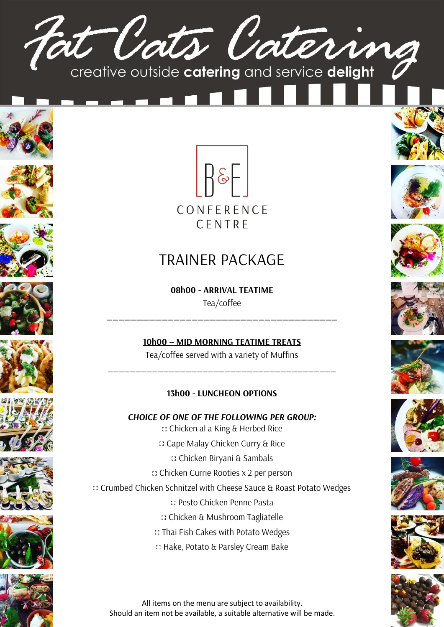





















## TRAINER PACKAGE

**08h00 - ARRIVAL TEATIME**  Tea/coffee

**\_\_\_\_\_\_\_\_\_\_\_\_\_\_\_\_\_\_\_\_\_\_\_\_\_\_\_\_\_\_\_\_\_\_\_\_\_\_**

**10h00 – MID MORNING TEATIME TREATS** Tea/coffee served with a variety of Muffins

\_\_\_\_\_\_\_\_\_\_\_\_\_\_\_\_\_\_\_\_\_\_\_\_\_\_\_\_\_\_\_\_\_\_\_\_\_\_\_\_\_

## **13h00 - LUNCHEON OPTIONS**

*CHOICE OF ONE OF THE FOLLOWING PER GROUP:* Chicken al a King & Herbed Rice Cape Malay Chicken Curry & Rice

Chicken Biryani & Sambals

Chicken Currie Rooties x 2 per person

Crumbed Chicken Schnitzel with Cheese Sauce & Roast Potato Wedges

Pesto Chicken Penne Pasta

- Chicken & Mushroom Tagliatelle
- Thai Fish Cakes with Potato Wedges
- Hake, Potato & Parsley Cream Bake



All items on the menu are subject to availability. Should an item not be available, a suitable alternative will be made.